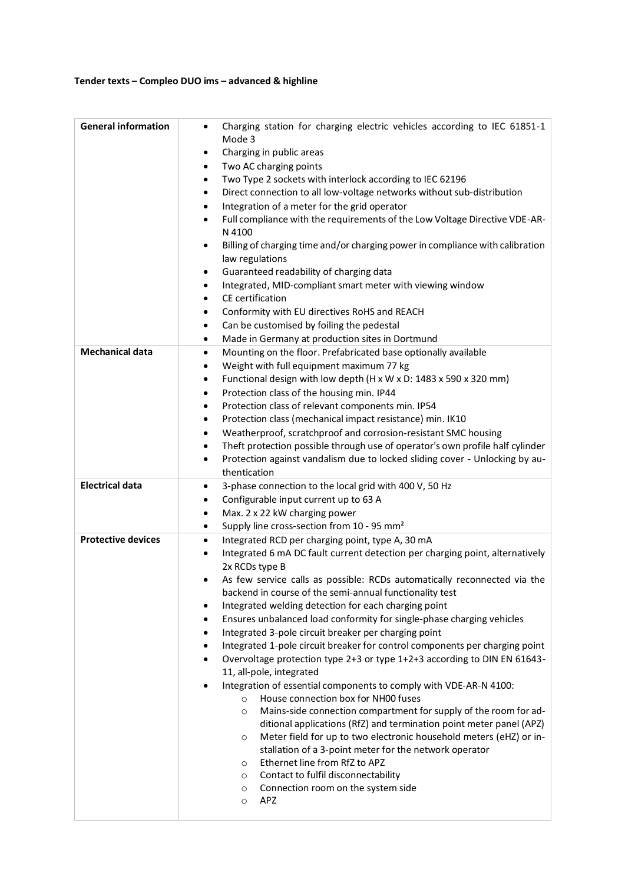## **Tender texts – Compleo DUO ims – advanced & highline**

| <b>General information</b> | Charging station for charging electric vehicles according to IEC 61851-1<br>Mode 3<br>Charging in public areas<br>Two AC charging points<br>٠<br>Two Type 2 sockets with interlock according to IEC 62196<br>Direct connection to all low-voltage networks without sub-distribution<br>٠<br>Integration of a meter for the grid operator<br>Full compliance with the requirements of the Low Voltage Directive VDE-AR-<br>N 4100<br>Billing of charging time and/or charging power in compliance with calibration<br>law regulations<br>Guaranteed readability of charging data<br>٠<br>Integrated, MID-compliant smart meter with viewing window<br>CE certification<br>Conformity with EU directives RoHS and REACH<br>Can be customised by foiling the pedestal<br>Made in Germany at production sites in Dortmund<br>٠                                                                                                                                                                                                                                                                                                                                                                                                                |
|----------------------------|-------------------------------------------------------------------------------------------------------------------------------------------------------------------------------------------------------------------------------------------------------------------------------------------------------------------------------------------------------------------------------------------------------------------------------------------------------------------------------------------------------------------------------------------------------------------------------------------------------------------------------------------------------------------------------------------------------------------------------------------------------------------------------------------------------------------------------------------------------------------------------------------------------------------------------------------------------------------------------------------------------------------------------------------------------------------------------------------------------------------------------------------------------------------------------------------------------------------------------------------|
| <b>Mechanical data</b>     | Mounting on the floor. Prefabricated base optionally available<br>٠<br>Weight with full equipment maximum 77 kg<br>٠<br>Functional design with low depth (H x W x D: 1483 x 590 x 320 mm)<br>٠<br>Protection class of the housing min. IP44<br>٠<br>Protection class of relevant components min. IP54<br>Protection class (mechanical impact resistance) min. IK10<br>٠<br>Weatherproof, scratchproof and corrosion-resistant SMC housing<br>Theft protection possible through use of operator's own profile half cylinder<br>٠<br>Protection against vandalism due to locked sliding cover - Unlocking by au-<br>٠<br>thentication                                                                                                                                                                                                                                                                                                                                                                                                                                                                                                                                                                                                       |
| <b>Electrical data</b>     | 3-phase connection to the local grid with 400 V, 50 Hz<br>Configurable input current up to 63 A<br>Max. 2 x 22 kW charging power<br>Supply line cross-section from 10 - 95 mm <sup>2</sup><br>٠                                                                                                                                                                                                                                                                                                                                                                                                                                                                                                                                                                                                                                                                                                                                                                                                                                                                                                                                                                                                                                           |
| <b>Protective devices</b>  | Integrated RCD per charging point, type A, 30 mA<br>٠<br>Integrated 6 mA DC fault current detection per charging point, alternatively<br>2x RCDs type B<br>As few service calls as possible: RCDs automatically reconnected via the<br>backend in course of the semi-annual functionality test<br>Integrated welding detection for each charging point<br>Ensures unbalanced load conformity for single-phase charging vehicles<br>Integrated 3-pole circuit breaker per charging point<br>Integrated 1-pole circuit breaker for control components per charging point<br>Overvoltage protection type 2+3 or type 1+2+3 according to DIN EN 61643-<br>11, all-pole, integrated<br>Integration of essential components to comply with VDE-AR-N 4100:<br>House connection box for NH00 fuses<br>$\circ$<br>Mains-side connection compartment for supply of the room for ad-<br>$\circ$<br>ditional applications (RfZ) and termination point meter panel (APZ)<br>Meter field for up to two electronic household meters (eHZ) or in-<br>O<br>stallation of a 3-point meter for the network operator<br>Ethernet line from RfZ to APZ<br>O<br>Contact to fulfil disconnectability<br>O<br>Connection room on the system side<br>O<br>APZ<br>O |